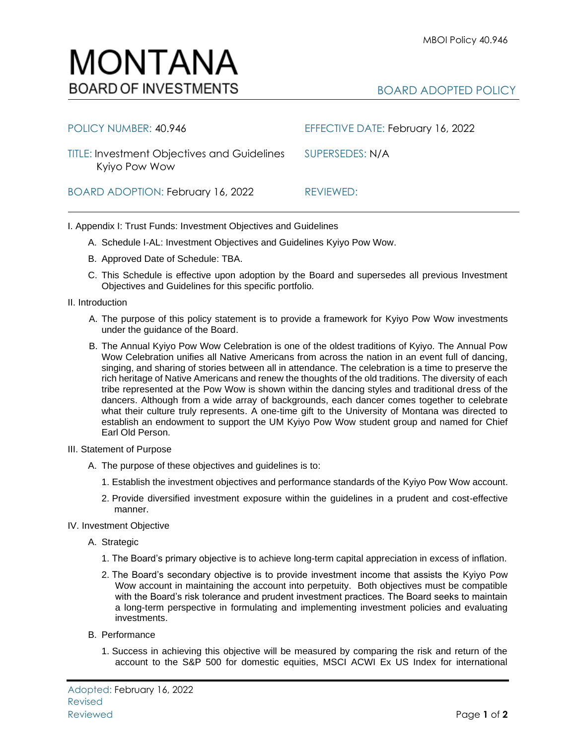## MONTANA **BOARD OF INVESTMENTS**

| POLICY NUMBER: 40.946                                               | EFFECTIVE DATE: February 16, 2022 |
|---------------------------------------------------------------------|-----------------------------------|
| <b>TITLE: Investment Objectives and Guidelines</b><br>Kyiyo Pow Wow | SUPERSEDES: N/A                   |
| BOARD ADOPTION: February 16, 2022                                   | REVIEWED:                         |

I. Appendix I: Trust Funds: Investment Objectives and Guidelines

- A. Schedule I-AL: Investment Objectives and Guidelines Kyiyo Pow Wow.
- B. Approved Date of Schedule: TBA.
- C. This Schedule is effective upon adoption by the Board and supersedes all previous Investment Objectives and Guidelines for this specific portfolio*.*
- II. Introduction
	- A. The purpose of this policy statement is to provide a framework for Kyiyo Pow Wow investments under the guidance of the Board.
	- B. The Annual Kyiyo Pow Wow Celebration is one of the oldest traditions of Kyiyo. The Annual Pow Wow Celebration unifies all Native Americans from across the nation in an event full of dancing, singing, and sharing of stories between all in attendance. The celebration is a time to preserve the rich heritage of Native Americans and renew the thoughts of the old traditions. The diversity of each tribe represented at the Pow Wow is shown within the dancing styles and traditional dress of the dancers. Although from a wide array of backgrounds, each dancer comes together to celebrate what their culture truly represents. A one-time gift to the University of Montana was directed to establish an endowment to support the UM Kyiyo Pow Wow student group and named for Chief Earl Old Person.
- III. Statement of Purpose
	- A. The purpose of these objectives and guidelines is to:
		- 1. Establish the investment objectives and performance standards of the Kyiyo Pow Wow account.
		- 2. Provide diversified investment exposure within the guidelines in a prudent and cost-effective manner.
- IV. Investment Objective
	- A. Strategic
		- 1. The Board's primary objective is to achieve long-term capital appreciation in excess of inflation.
		- 2. The Board's secondary objective is to provide investment income that assists the Kyiyo Pow Wow account in maintaining the account into perpetuity. Both objectives must be compatible with the Board's risk tolerance and prudent investment practices. The Board seeks to maintain a long-term perspective in formulating and implementing investment policies and evaluating investments.
	- B. Performance
		- 1. Success in achieving this objective will be measured by comparing the risk and return of the account to the S&P 500 for domestic equities, MSCI ACWI Ex US Index for international